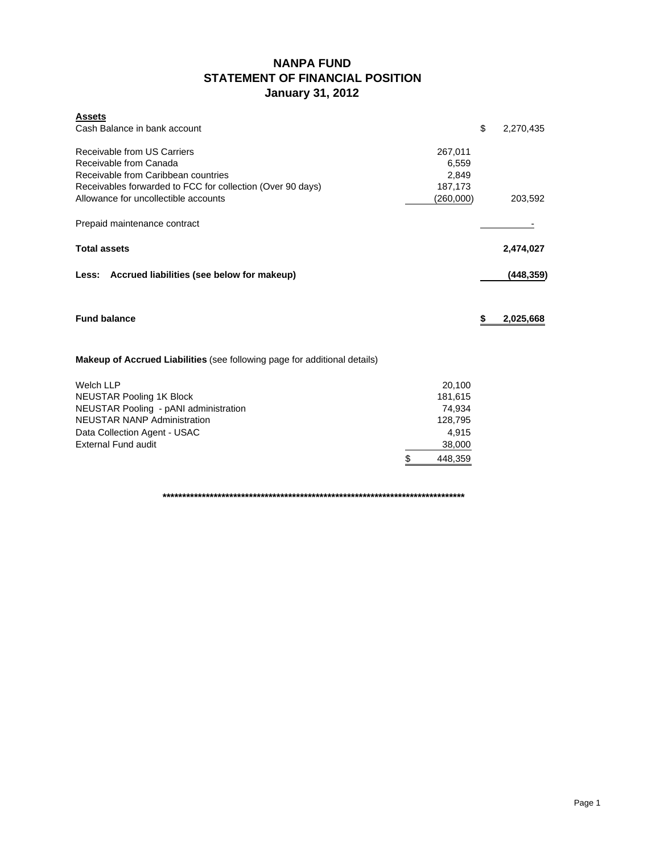## **NANPA FUND STATEMENT OF FINANCIAL POSITION January 31, 2012**

| <b>Assets</b><br>Cash Balance in bank account                                                                                                              |                                      | \$<br>2,270,435 |
|------------------------------------------------------------------------------------------------------------------------------------------------------------|--------------------------------------|-----------------|
| Receivable from US Carriers<br>Receivable from Canada<br>Receivable from Caribbean countries<br>Receivables forwarded to FCC for collection (Over 90 days) | 267,011<br>6,559<br>2,849<br>187,173 |                 |
| Allowance for uncollectible accounts<br>Prepaid maintenance contract                                                                                       | (260,000)                            | 203,592         |
|                                                                                                                                                            |                                      |                 |
| <b>Total assets</b>                                                                                                                                        |                                      | 2,474,027       |
| Less: Accrued liabilities (see below for makeup)                                                                                                           |                                      | (448, 359)      |
| <b>Fund balance</b>                                                                                                                                        |                                      | \$<br>2,025,668 |
| Makeup of Accrued Liabilities (see following page for additional details)                                                                                  |                                      |                 |
| <b>Welch LLP</b><br><b>NEUSTAR Pooling 1K Block</b>                                                                                                        | 20,100<br>181,615                    |                 |
| NEUSTAR Pooling - pANI administration                                                                                                                      | 74,934                               |                 |
| <b>NEUSTAR NANP Administration</b>                                                                                                                         | 128,795                              |                 |
| Data Collection Agent - USAC                                                                                                                               | 4,915                                |                 |
| <b>External Fund audit</b>                                                                                                                                 | 38,000                               |                 |
|                                                                                                                                                            | \$<br>448,359                        |                 |

**\*\*\*\*\*\*\*\*\*\*\*\*\*\*\*\*\*\*\*\*\*\*\*\*\*\*\*\*\*\*\*\*\*\*\*\*\*\*\*\*\*\*\*\*\*\*\*\*\*\*\*\*\*\*\*\*\*\*\*\*\*\*\*\*\*\*\*\*\*\*\*\*\*\*\*\*\***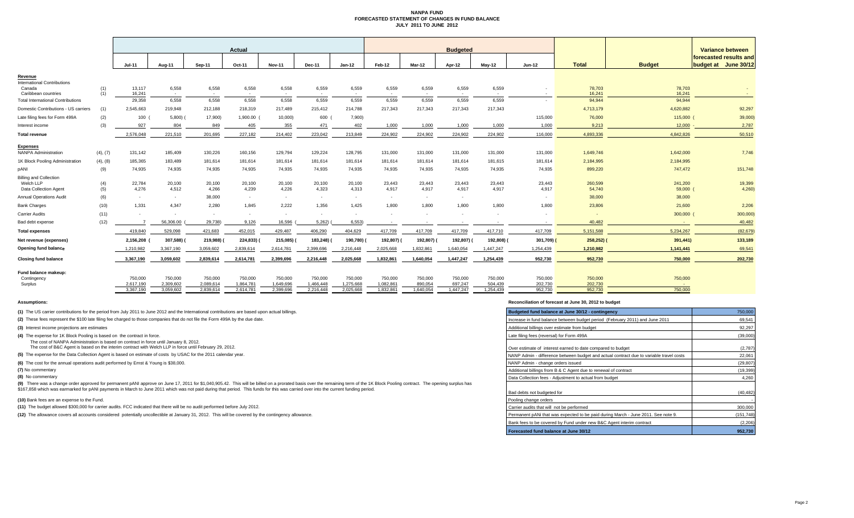#### **NANPA FUND FORECASTED STATEMENT OF CHANGES IN FUND BALANCE JULY 2011 TO JUNE 2012**

|                                                |          | Actual                 |                        |                          |                        |                        |                        | <b>Budgeted</b>        |                        |                      |                      |                      |                          |                    | Variance between |                                                |
|------------------------------------------------|----------|------------------------|------------------------|--------------------------|------------------------|------------------------|------------------------|------------------------|------------------------|----------------------|----------------------|----------------------|--------------------------|--------------------|------------------|------------------------------------------------|
|                                                |          | $Jul-11$               | Aug-11                 | Sep-11                   | Oct-11                 | <b>Nov-11</b>          | Dec-11                 | $Jan-12$               | Feb-12                 | Mar-12               | Apr-12               | $Mav-12$             | Jun-12                   | <b>Total</b>       | <b>Budget</b>    | forecasted results and<br>budget at June 30/12 |
|                                                |          |                        |                        |                          |                        |                        |                        |                        |                        |                      |                      |                      |                          |                    |                  |                                                |
| Revenue                                        |          |                        |                        |                          |                        |                        |                        |                        |                        |                      |                      |                      |                          |                    |                  |                                                |
| <b>International Contributions</b><br>Canada   | (1)      | 13,117                 | 6,558                  | 6,558                    | 6,558                  | 6,558                  | 6,559                  | 6,559                  | 6,559                  | 6,559                | 6,559                | 6,559                | $\overline{\phantom{a}}$ | 78,703             | 78,703           |                                                |
| Caribbean countries                            | (1)      | 16,241                 | $\sim$                 | $\overline{\phantom{a}}$ | $\sim$                 | $\sim$                 | $\sim$                 | $\sim$                 |                        | $\sim$               | $\sim$               |                      | $\sim$                   | 16,241             | 16,241           |                                                |
| <b>Total International Contributions</b>       |          | 29,358                 | 6.558                  | 6,558                    | 6.558                  | 6.558                  | 6,559                  | 6.559                  | 6,559                  | 6.559                | 6.559                | 6.559                | $\overline{\phantom{a}}$ | 94,944             | 94.944           |                                                |
| Domestic Contributions - US carriers           | (1)      | 2,545,663              | 219.948                | 212,188                  | 218,319                | 217,489                | 215,412                | 214,788                | 217,343                | 217,343              | 217,343              | 217,343              |                          | 4,713,179          | 4,620,882        | 92,297                                         |
| Late filing fees for Form 499A                 | (2)      | 100                    | $5,800$ )              | 17,900)                  | 1,900.00               | 10,000)                | 600 (                  | 7,900)                 |                        |                      |                      |                      | 115,000                  | 76,000             | 115,000          | 39,000)                                        |
| Interest income                                | (3)      | 927                    | 804                    | 849                      | 405                    | 355                    | 471                    | 402                    | 1,000                  | 1,000                | 1,000                | 1,000                | 1,000                    | 9,213              | 12,000           | 2,787                                          |
| <b>Total revenue</b>                           |          | 2,576,048              | 221,510                | 201,695                  | 227,182                | 214,402                | 223,042                | 213,849                | 224,902                | 224,902              | 224,902              | 224,902              | 116,000                  | 4,893,336          | 4,842,826        | 50,510                                         |
|                                                |          |                        |                        |                          |                        |                        |                        |                        |                        |                      |                      |                      |                          |                    |                  |                                                |
| <b>Expenses</b><br><b>NANPA Administration</b> | (4), (7) | 131,142                | 185,409                | 130.226                  | 160.156                | 129,794                | 129,224                | 128,795                | 131,000                | 131.000              | 131,000              | 131,000              | 131,000                  | 1,649,746          | 1,642,000        | 7,746                                          |
| 1K Block Pooling Administration                | (4), (8) | 185,365                | 183,489                | 181,614                  | 181,614                | 181,614                | 181,614                | 181,614                | 181,614                | 181,614              | 181,614              | 181,615              | 181,614                  | 2,184,995          | 2,184,995        |                                                |
| pANI                                           | (9)      | 74,935                 | 74,935                 | 74,935                   | 74,935                 | 74,935                 | 74,935                 | 74,935                 | 74,935                 | 74,935               | 74,935               | 74,935               | 74,935                   | 899,220            | 747,472          | 151,748                                        |
| <b>Billing and Collection</b>                  |          |                        |                        |                          |                        |                        |                        |                        |                        |                      |                      |                      |                          |                    |                  |                                                |
| Welch LLP                                      | (4)      | 22,784                 | 20,100                 | 20,100                   | 20,100                 | 20,100                 | 20,100                 | 20,100                 | 23,443                 | 23,443               | 23,443               | 23,443               | 23,443                   | 260,599            | 241,200          | 19,399                                         |
| Data Collection Agent                          | (5)      | 4,276                  | 4,512                  | 4,266                    | 4,239                  | 4,226                  | 4,323                  | 4,313                  | 4,917                  | 4,917                | 4,917                | 4,917                | 4,917                    | 54,740             | 59,000           | 4,260                                          |
| <b>Annual Operations Audit</b>                 | (6)      | $\sim$                 | $\sim$                 | 38,000                   | $\sim$                 | $\sim$                 | $\sim$                 | $\sim$                 | $\sim$                 | $\sim$               | $\sim$               |                      | $\sim$                   | 38,000             | 38,000           |                                                |
| <b>Bank Charges</b>                            | (10)     | 1,331                  | 4.347                  | 2.280                    | 1.845                  | 2.222                  | 1,356                  | 1,425                  | 1,800                  | 1,800                | 1.800                | 1,800                | 1,800                    | 23,806             | 21,600           | 2,206                                          |
| <b>Carrier Audits</b>                          | (11)     | $\sim$                 | ۰.                     |                          | $\sim$                 | $\sim$                 | $\sim$                 | $\sim$                 |                        |                      |                      |                      | $\overline{\phantom{a}}$ | $\sim$             | 300,000          | 300,000                                        |
| Bad debt expense                               | (12)     |                        | 56,306.00              | 29,738)                  | 9,126                  | 16,596                 | 5,262                  | 6,553)                 |                        |                      |                      |                      | $\overline{\phantom{a}}$ | 40,482             | $\sim$           | 40,482                                         |
| <b>Total expenses</b>                          |          | 419,840                | 529,098                | 421,683                  | 452,015                | 429,487                | 406,290                | 404,629                | 417,709                | 417,709              | 417,709              | 417,710              | 417,709                  | 5,151,588          | 5,234,267        | (82, 679)                                      |
| Net revenue (expenses)                         |          | 2,156,208              | 307,588)               | 219,988)                 | 224,833)               | 215,085)               | 183,248)               | 190,780)               | 192,807)               | 192,807)             | 192,807)             | 192,808)             | 301,709)                 | 258,252)           | 391,441)         | 133,189                                        |
| Opening fund balance                           |          | 1,210,982              | 3,367,190              | 3,059,602                | 2,839,614              | 2,614,781              | 2,399,696              | 2,216,448              | 2,025,668              | 1,832,861            | 1,640,054            | 1,447,247            | 1,254,439                | 1,210,982          | 1,141,441        | 69,541                                         |
| <b>Closing fund balance</b>                    |          | 3,367,190              | 3,059,602              | 2,839,614                | 2,614,781              | 2,399,696              | 2,216,448              | 2,025,668              | 1,832,861              | 1,640,054            | 1,447,247            | 1,254,439            | 952,730                  | 952,730            | 750,000          | 202,730                                        |
| Fund balance makeup:                           |          |                        |                        |                          |                        |                        |                        |                        |                        |                      |                      |                      |                          |                    |                  |                                                |
| Contingency                                    |          | 750,000                | 750,000                | 750,000                  | 750,000                | 750,000                | 750,000                | 750,000                | 750,000                | 750,000              | 750,000              | 750,000              | 750,000                  | 750,000            | 750,000          |                                                |
| Surplus                                        |          | 2.617.190<br>3,367,190 | 2.309.602<br>3,059,602 | 2.089.614<br>2,839,614   | 1.864.781<br>2,614,781 | 1.649.696<br>2.399.696 | 1.466.448<br>2,216,448 | 1.275.668<br>2,025,668 | 1.082.861<br>1,832,861 | 890.054<br>1,640,054 | 697.247<br>1,447,247 | 504.439<br>1,254,439 | 202.730<br>952,730       | 202,730<br>952,730 | - 11<br>750,000  |                                                |
|                                                |          |                        |                        |                          |                        |                        |                        |                        |                        |                      |                      |                      |                          |                    |                  |                                                |

**(8)** No commentary

#### **Assumptions: Reconciliation of forecast at June 30, 2012 to budget**

| (1) The US carrier contributions for the period from July 2011 to June 2012 and the International contributions are based upon actual billings.                                                                                 | Budgeted fund balance at June 30/12 - contingency                                       | 750,000    |
|---------------------------------------------------------------------------------------------------------------------------------------------------------------------------------------------------------------------------------|-----------------------------------------------------------------------------------------|------------|
| (2) These fees represent the \$100 late filing fee charged to those companies that do not file the Form 499A by the due date.                                                                                                   | Increase in fund balance between budget period (February 2011) and June 2011            | 69,541     |
| (3) Interest income projections are estimates                                                                                                                                                                                   | Additional billings over estimate from budget                                           | 92.297     |
| (4) The expense for 1K Block Pooling is based on the contract in force.                                                                                                                                                         | Late filing fees (reversal) for Form 499A                                               | (39,000)   |
| The cost of NANPA Administration is based on contract in force until January 8, 2012.<br>The cost of B&C Agent is based on the interim contract with Welch LLP in force until February 29, 2012.                                | Over estimate of interest earned to date compared to budget                             | (2,787)    |
| (5) The expense for the Data Collection Agent is based on estimate of costs by USAC for the 2011 calendar year.                                                                                                                 | NANP Admin - difference between budget and actual contract due to variable travel costs | 22,061     |
| (6) The cost for the annual operations audit performed by Ernst & Young is \$38,000.                                                                                                                                            | NANP Admin - change orders issued                                                       | (29, 807)  |
| (7) No commentary                                                                                                                                                                                                               | Additional billings from B & C Agent due to renewal of contract                         | (19, 399)  |
| (8) No commentary                                                                                                                                                                                                               | Data Collection fees - Adiustment to actual from budget                                 | 4.260      |
| (9) There was a change order approved for permanent pANI approve on June 17, 2011 for \$1,040,905.42. This will be billed on a prorated basis over the remaining term of the 1K Block Pooling contract. The opening surplus has |                                                                                         |            |
| \$167,858 which was earmarked for pANI payments in March to June 2011 which was not paid during that period. This funds for this was carried over into the current funding period.                                              | Bad debts not budgeted for                                                              | (40, 482)  |
| (10) Bank fees are an expense to the Fund.                                                                                                                                                                                      | Pooling change orders                                                                   |            |
| (11) The budget allowed \$300,000 for carrier audits. FCC indicated that there will be no audit performed before July 2012.                                                                                                     | Carrier audits that will not be performed                                               | 300,000    |
| (12) The allowance covers all accounts considered potentially uncollectible at January 31, 2012. This will be covered by the contingency allowance.                                                                             | Permanent pANi that was expected to be paid during March - June 2011. See note 9.       | (151, 748) |
|                                                                                                                                                                                                                                 | Bank fees to be covered by Fund under new B&C Agent interim contract                    | (2,206)    |
|                                                                                                                                                                                                                                 | Forecasted fund balance at June 30/12                                                   | 952,730    |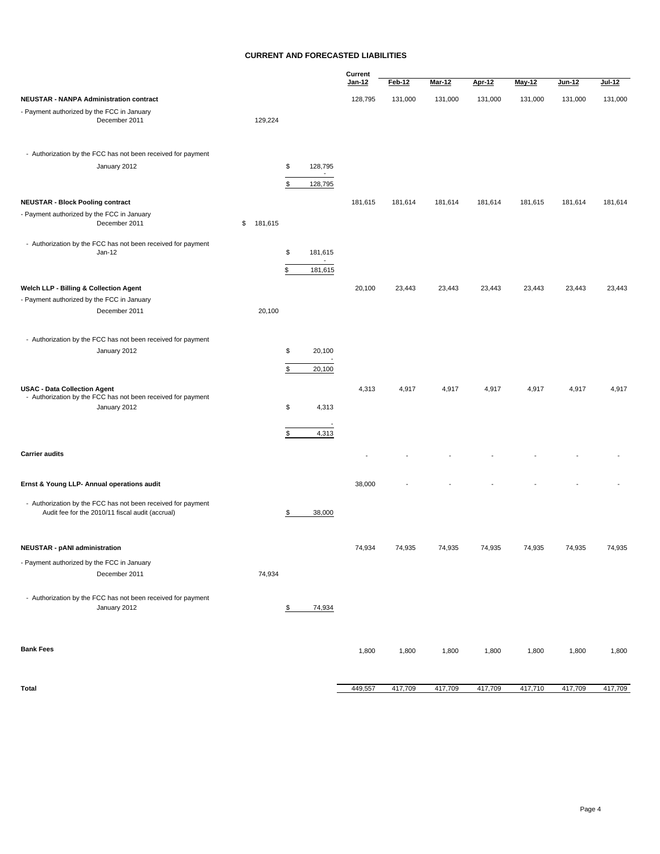#### **CURRENT AND FORECASTED LIABILITIES**

|                                                                                                                     |               |                                                            | Current       |         |               |               |         |         |         |
|---------------------------------------------------------------------------------------------------------------------|---------------|------------------------------------------------------------|---------------|---------|---------------|---------------|---------|---------|---------|
|                                                                                                                     |               |                                                            | <u>Jan-12</u> | Feb-12  | <b>Mar-12</b> | <b>Apr-12</b> | May-12  | Jun-12  | Jul-12  |
| <b>NEUSTAR - NANPA Administration contract</b>                                                                      |               |                                                            | 128,795       | 131,000 | 131,000       | 131,000       | 131,000 | 131,000 | 131,000 |
| - Payment authorized by the FCC in January<br>December 2011                                                         | 129,224       |                                                            |               |         |               |               |         |         |         |
| - Authorization by the FCC has not been received for payment                                                        |               |                                                            |               |         |               |               |         |         |         |
| January 2012                                                                                                        |               | \$<br>128,795<br>$\blacksquare$<br>\$<br>128,795           |               |         |               |               |         |         |         |
| <b>NEUSTAR - Block Pooling contract</b>                                                                             |               |                                                            | 181,615       | 181,614 | 181,614       | 181,614       | 181,615 | 181,614 | 181,614 |
| - Payment authorized by the FCC in January<br>December 2011                                                         | \$<br>181,615 |                                                            |               |         |               |               |         |         |         |
| - Authorization by the FCC has not been received for payment<br>Jan-12                                              |               | \$<br>181,615<br>$\overline{\phantom{a}}$<br>\$<br>181,615 |               |         |               |               |         |         |         |
| Welch LLP - Billing & Collection Agent                                                                              |               |                                                            | 20,100        | 23,443  | 23,443        | 23,443        | 23,443  | 23,443  | 23,443  |
| - Payment authorized by the FCC in January<br>December 2011                                                         | 20,100        |                                                            |               |         |               |               |         |         |         |
| - Authorization by the FCC has not been received for payment                                                        |               |                                                            |               |         |               |               |         |         |         |
| January 2012                                                                                                        |               | \$<br>20,100<br>\$<br>20,100                               |               |         |               |               |         |         |         |
| <b>USAC - Data Collection Agent</b><br>- Authorization by the FCC has not been received for payment<br>January 2012 |               | \$<br>4,313                                                | 4,313         | 4,917   | 4,917         | 4,917         | 4,917   | 4,917   | 4,917   |
|                                                                                                                     |               | 4,313<br>\$                                                |               |         |               |               |         |         |         |
| <b>Carrier audits</b>                                                                                               |               |                                                            |               |         |               |               |         |         |         |
| Ernst & Young LLP- Annual operations audit                                                                          |               |                                                            | 38,000        |         |               |               |         |         |         |
| - Authorization by the FCC has not been received for payment<br>Audit fee for the 2010/11 fiscal audit (accrual)    |               | 38,000<br>\$                                               |               |         |               |               |         |         |         |
| <b>NEUSTAR - pANI administration</b>                                                                                |               |                                                            | 74,934        | 74,935  | 74,935        | 74,935        | 74,935  | 74,935  | 74,935  |
| - Payment authorized by the FCC in January<br>December 2011                                                         | 74,934        |                                                            |               |         |               |               |         |         |         |
| - Authorization by the FCC has not been received for payment<br>January 2012                                        |               | 74,934<br>\$                                               |               |         |               |               |         |         |         |
| <b>Bank Fees</b>                                                                                                    |               |                                                            | 1,800         | 1,800   | 1,800         | 1,800         | 1,800   | 1,800   | 1,800   |
| Total                                                                                                               |               |                                                            | 449,557       | 417,709 | 417,709       | 417,709       | 417,710 | 417,709 | 417,709 |